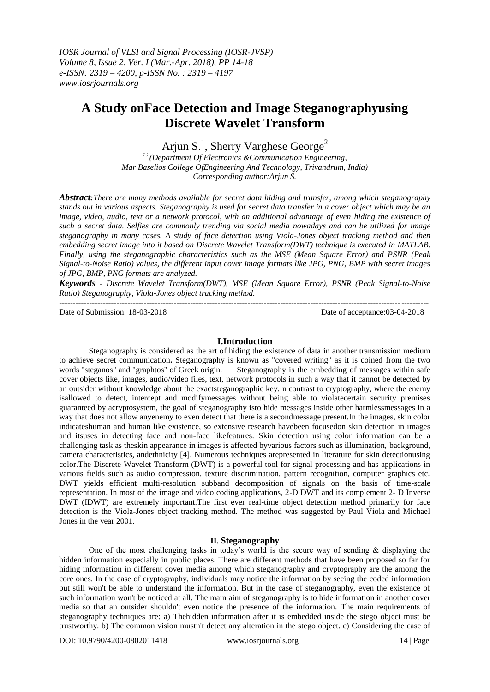# **A Study onFace Detection and Image Steganographyusing Discrete Wavelet Transform**

Arjun S.<sup>1</sup>, Sherry Varghese George<sup>2</sup>

*1,2(Department Of Electronics &Communication Engineering, Mar Baselios College OfEngineering And Technology, Trivandrum, India) Corresponding author:Arjun S.*

*Abstract:There are many methods available for secret data hiding and transfer, among which steganography stands out in various aspects. Steganography is used for secret data transfer in a cover object which may be an image, video, audio, text or a network protocol, with an additional advantage of even hiding the existence of such a secret data. Selfies are commonly trending via social media nowadays and can be utilized for image steganography in many cases. A study of face detection using Viola-Jones object tracking method and then embedding secret image into it based on Discrete Wavelet Transform(DWT) technique is executed in MATLAB. Finally, using the steganographic characteristics such as the MSE (Mean Square Error) and PSNR (Peak Signal-to-Noise Ratio) values, the different input cover image formats like JPG, PNG, BMP with secret images of JPG, BMP, PNG formats are analyzed.*

*Keywords - Discrete Wavelet Transform(DWT), MSE (Mean Square Error), PSNR (Peak Signal-to-Noise Ratio) Steganography, Viola-Jones object tracking method.*

---------------------------------------------------------------------------------------------------------------------------------------

Date of Submission: 18-03-2018 Date of acceptance:03-04-2018 ---------------------------------------------------------------------------------------------------------------------------------------

## **I.Introduction**

Steganography is considered as the art of hiding the existence of data in another transmission medium to achieve secret communication**.** Steganography is known as "covered writing" as it is coined from the two words "steganos" and "graphtos" of Greek origin. Steganography is the embedding of messages within safe cover objects like, images, audio/video files, text, network protocols in such a way that it cannot be detected by an outsider without knowledge about the exactsteganographic key.In contrast to cryptography, where the enemy isallowed to detect, intercept and modifymessages without being able to violatecertain security premises guaranteed by acryptosystem, the goal of steganography isto hide messages inside other harmlessmessages in a way that does not allow anyenemy to even detect that there is a secondmessage present.In the images, skin color indicateshuman and human like existence, so extensive research havebeen focusedon skin detection in images and itsuses in detecting face and non-face likefeatures. Skin detection using color information can be a challenging task as theskin appearance in images is affected byvarious factors such as illumination, background, camera characteristics, andethnicity [4]. Numerous techniques arepresented in literature for skin detectionusing color.The Discrete Wavelet Transform (DWT) is a powerful tool for signal processing and has applications in various fields such as audio compression, texture discrimination, pattern recognition, computer graphics etc. DWT yields efficient multi-resolution subband decomposition of signals on the basis of time-scale representation. In most of the image and video coding applications, 2-D DWT and its complement 2- D Inverse DWT (IDWT) are extremely important.The first ever real-time object detection method primarily for face detection is the Viola-Jones object tracking method. The method was suggested by Paul Viola and Michael Jones in the year 2001.

## **II. Steganography**

One of the most challenging tasks in today's world is the secure way of sending  $\&$  displaying the hidden information especially in public places. There are different methods that have been proposed so far for hiding information in different cover media among which steganography and cryptography are the among the core ones. In the case of cryptography, individuals may notice the information by seeing the coded information but still won't be able to understand the information. But in the case of steganography, even the existence of such information won't be noticed at all. The main aim of steganography is to hide information in another cover media so that an outsider shouldn't even notice the presence of the information. The main requirements of steganography techniques are: a) Thehidden information after it is embedded inside the stego object must be trustworthy. b) The common vision mustn't detect any alteration in the stego object. c) Considering the case of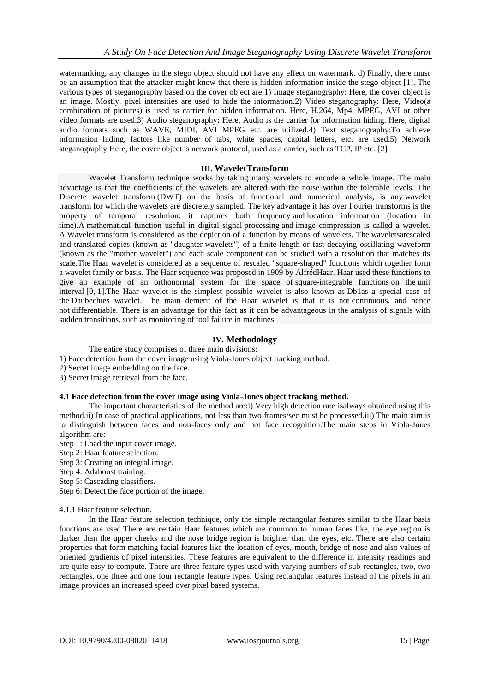watermarking, any changes in the stego object should not have any effect on watermark. d) Finally, there must be an assumption that the attacker might know that there is hidden information inside the stego object [1]. The various types of steganography based on the cover object are:1) Image steganography: Here, the cover object is an image. Mostly, pixel intensities are used to hide the information.2) Video steganography: Here, Video(a combination of pictures) is used as carrier for hidden information. Here, H.264, Mp4, MPEG, AVI or other video formats are used.3) Audio steganography**:** Here, Audio is the carrier for information hiding. Here, digital audio formats such as WAVE, MIDI, AVI MPEG etc. are utilized.4) Text steganography:To achieve information hiding, factors like number of tabs, white spaces, capital letters, etc. are used.5) Network steganography:Here, the cover object is network protocol, used as a carrier, such as TCP, IP etc. [2]

## **III. WaveletTransform**

Wavelet Transform technique works by taking many wavelets to encode a whole image. The main advantage is that the coefficients of the wavelets are altered with the noise within the tolerable levels. The Discrete wavelet transform (DWT) on the basis of [functional and numerical analysis,](https://en.wikipedia.org/wiki/Functional_analysis) is any [wavelet](https://en.wikipedia.org/wiki/Wavelet_transform)  [transform](https://en.wikipedia.org/wiki/Wavelet_transform) for which the [wavelets](https://en.wikipedia.org/wiki/Wavelet) are discretely sampled. The key advantage it has over [Fourier transforms](https://en.wikipedia.org/wiki/Fourier_transform) is the property of temporal resolution: it captures both frequency and location information (location in time).A mathematical function useful in digital signal processing and image compression is called a wavelet. A Wavelet transform is considered as the depiction of a function by means of wavelets. The waveletsarescaled and translated copies (known as "daughter wavelets") of a finite-length or fast-decaying oscillating waveform (known as the "mother wavelet") and each scale component can be studied with a resolution that matches its scale.The Haar wavelet is considered as a sequence of rescaled "square-shaped" functions which together form a [wavelet](https://en.wikipedia.org/wiki/Wavelet) family or basis. The Haar sequence was proposed in 1909 by [AlfrédHaar.](https://en.wikipedia.org/wiki/Alfr%C3%A9d_Haar) Haar used these functions to give an example of an orthonormal system for the space of [square-integrable functions](https://en.wikipedia.org/wiki/Square-integrable_function) on the [unit](https://en.wikipedia.org/wiki/Unit_interval)  [interval](https://en.wikipedia.org/wiki/Unit_interval) [0, 1].The Haar wavelet is the simplest possible wavelet is also known as Db1as a special case of the [Daubechies wavelet.](https://en.wikipedia.org/wiki/Daubechies_wavelet) The main demerit of the Haar wavelet is that it is not [continuous,](https://en.wikipedia.org/wiki/Continuous_function) and hence not [differentiable.](https://en.wikipedia.org/wiki/Derivative) There is an advantage for this fact as it can be advantageous in the analysis of signals with sudden transitions, such as monitoring of tool failure in machines.

## **IV. Methodology**

The entire study comprises of three main divisions:

1) Face detection from the cover image using Viola-Jones object tracking method.

- 2) Secret image embedding on the face.
- 3) Secret image retrieval from the face.

#### **4.1 Face detection from the cover image using Viola-Jones object tracking method.**

The important characteristics of the method are:i) Very high detection rate isalways obtained using this method.ii) In case of practical applications, not less than two frames/sec must be processed.iii) The main aim is to distinguish between faces and non-faces only and not face recognition.The main steps in Viola-Jones algorithm are:

- Step 1: Load the input cover image.
- Step 2: Haar feature selection.
- Step 3: Creating an integral image.
- Step 4: Adaboost training.
- Step 5: Cascading classifiers.
- Step 6: Detect the face portion of the image.

#### 4.1.1 Haar feature selection.

In the Haar feature selection technique, only the simple rectangular features similar to the Haar basis functions are used.There are certain Haar features which are common to human faces like, the eye region is darker than the upper cheeks and the nose bridge region is brighter than the eyes, etc. There are also certain properties that form matching facial features like the location of eyes, mouth, bridge of nose and also values of oriented gradients of pixel intensities. These features are equivalent to the difference in intensity readings and are quite easy to compute. There are three feature types used with varying numbers of sub-rectangles, two, two rectangles, one three and one four rectangle feature types. Using rectangular features instead of the pixels in an image provides an increased speed over pixel based systems.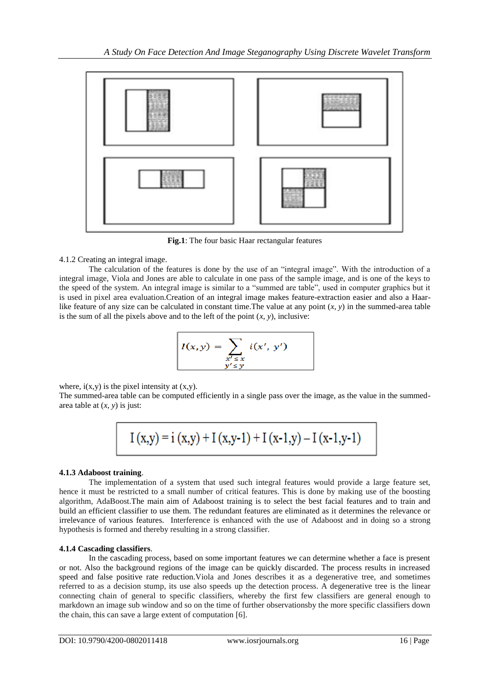

**Fig.1**: The four basic Haar rectangular features

4.1.2 Creating an integral image.

The calculation of the features is done by the use of an "integral image". With the introduction of a integral image, Viola and Jones are able to calculate in one pass of the sample image, and is one of the keys to the speed of the system. An integral image is similar to a "summed are table", used in computer graphics but it is used in pixel area evaluation.Creation of an integral image makes feature-extraction easier and also a Haarlike feature of any size can be calculated in constant time. The value at any point  $(x, y)$  in the summed-area table is the sum of all the pixels above and to the left of the point  $(x, y)$ , inclusive:

$$
I(x,y) = \sum_{\substack{x' \leq x \\ y' \leq y}} i(x', y')
$$

where,  $i(x,y)$  is the pixel intensity at  $(x,y)$ .

The summed-area table can be computed efficiently in a single pass over the image, as the value in the summedarea table at (*x*, *y*) is just:

$$
I\left(x,y\right)=i\left(x,y\right)+I\left(x,y\text{-}1\right)+I\left(x\text{-}1,y\right)-I\left(x\text{-}1,y\text{-}1\right)
$$

# **4.1.3 Adaboost training**.

The implementation of a system that used such integral features would provide a large feature set, hence it must be restricted to a small number of critical features. This is done by making use of the boosting algorithm, AdaBoost.The main aim of Adaboost training is to select the best facial features and to train and build an efficient classifier to use them. The redundant features are eliminated as it determines the relevance or irrelevance of various features. Interference is enhanced with the use of Adaboost and in doing so a strong hypothesis is formed and thereby resulting in a strong classifier.

# **4.1.4 Cascading classifiers**.

In the cascading process, based on some important features we can determine whether a face is present or not. Also the background regions of the image can be quickly discarded. The process results in increased speed and false positive rate reduction.Viola and Jones describes it as a degenerative tree, and sometimes referred to as a decision stump, its use also speeds up the detection process. A degenerative tree is the linear connecting chain of general to specific classifiers, whereby the first few classifiers are general enough to markdown an image sub window and so on the time of further observationsby the more specific classifiers down the chain, this can save a large extent of computation [6].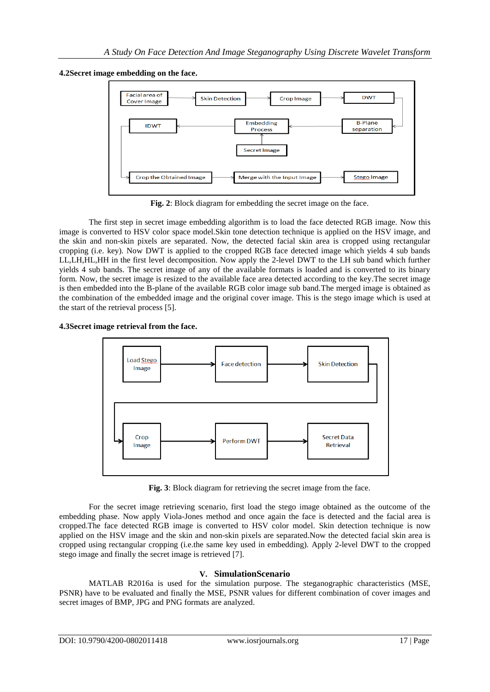**4.2Secret image embedding on the face.**



**Fig. 2**: Block diagram for embedding the secret image on the face.

The first step in secret image embedding algorithm is to load the face detected RGB image. Now this image is converted to HSV color space model.Skin tone detection technique is applied on the HSV image, and the skin and non-skin pixels are separated. Now, the detected facial skin area is cropped using rectangular cropping (i.e. key). Now DWT is applied to the cropped RGB face detected image which yields 4 sub bands LL,LH,HL,HH in the first level decomposition. Now apply the 2-level DWT to the LH sub band which further yields 4 sub bands. The secret image of any of the available formats is loaded and is converted to its binary form. Now, the secret image is resized to the available face area detected according to the key.The secret image is then embedded into the B-plane of the available RGB color image sub band.The merged image is obtained as the combination of the embedded image and the original cover image. This is the stego image which is used at the start of the retrieval process [5].





**Fig. 3**: Block diagram for retrieving the secret image from the face.

For the secret image retrieving scenario, first load the stego image obtained as the outcome of the embedding phase. Now apply Viola-Jones method and once again the face is detected and the facial area is cropped.The face detected RGB image is converted to HSV color model. Skin detection technique is now applied on the HSV image and the skin and non-skin pixels are separated.Now the detected facial skin area is cropped using rectangular cropping (i.e.the same key used in embedding). Apply 2-level DWT to the cropped stego image and finally the secret image is retrieved [7].

# **V. SimulationScenario**

MATLAB R2016a is used for the simulation purpose. The steganographic characteristics (MSE, PSNR) have to be evaluated and finally the MSE, PSNR values for different combination of cover images and secret images of BMP, JPG and PNG formats are analyzed.